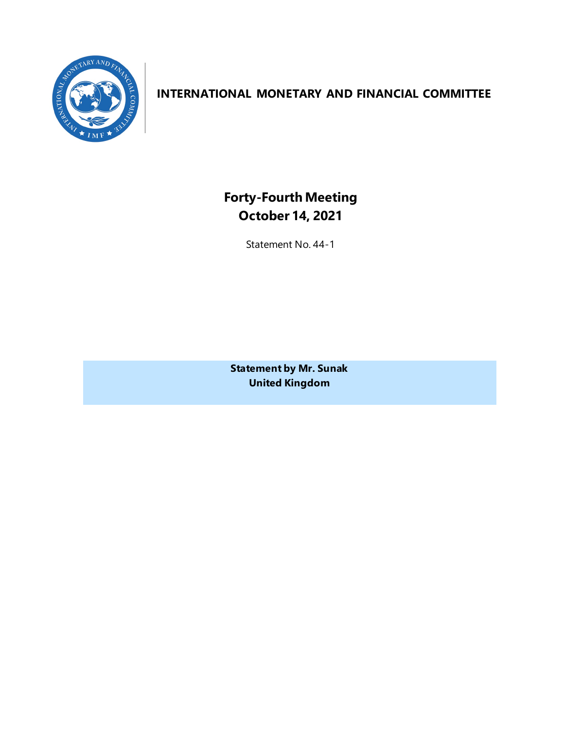

# **INTERNATIONAL MONETARY AND FINANCIAL COMMITTEE**

**Forty-Fourth Meeting October 14, 2021**

Statement No. 44-1

**Statement by Mr. Sunak United Kingdom**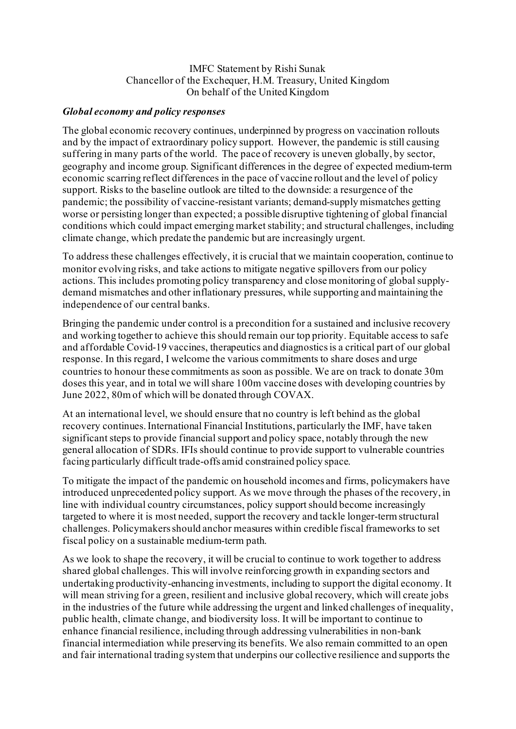#### IMFC Statement by Rishi Sunak Chancellor of the Exchequer, H.M. Treasury, United Kingdom On behalf of the United Kingdom

#### *Global economy and policy responses*

The global economic recovery continues, underpinned by progress on vaccination rollouts and by the impact of extraordinary policy support. However, the pandemic is still causing suffering in many parts of the world. The pace of recovery is uneven globally, by sector, geography and income group. Significant differences in the degree of expected medium-term economic scarring reflect differences in the pace of vaccine rollout and the level of policy support. Risks to the baseline outlook are tilted to the downside: a resurgence of the pandemic; the possibility of vaccine-resistant variants; demand-supply mismatches getting worse or persisting longer than expected; a possible disruptive tightening of global financial conditions which could impact emerging market stability; and structural challenges, including climate change, which predate the pandemic but are increasingly urgent.

To address these challenges effectively, it is crucial that we maintain cooperation, continue to monitor evolving risks, and take actions to mitigate negative spillovers from our policy actions. This includes promoting policy transparency and close monitoring of global supplydemand mismatches and other inflationary pressures, while supporting and maintaining the independence of our central banks.

Bringing the pandemic under control is a precondition for a sustained and inclusive recovery and working together to achieve this should remain our top priority. Equitable access to safe and affordable Covid-19 vaccines, therapeutics and diagnostics is a critical part of our global response. In this regard, I welcome the various commitments to share doses and urge countries to honour these commitments as soon as possible. We are on track to donate 30m doses this year, and in total we will share 100m vaccine doses with developing countries by June 2022, 80m of which will be donated through COVAX.

At an international level, we should ensure that no country is left behind as the global recovery continues. International Financial Institutions, particularly the IMF, have taken significant steps to provide financial support and policy space, notably through the new general allocation of SDRs. IFIs should continue to provide support to vulnerable countries facing particularly difficult trade-offs amid constrained policy space.

To mitigate the impact of the pandemic on household incomes and firms, policymakers have introduced unprecedented policy support. As we move through the phases of the recovery, in line with individual country circumstances, policy support should become increasingly targeted to where it is most needed, support the recovery and tackle longer-term structural challenges. Policymakersshould anchor measures within credible fiscal frameworks to set fiscal policy on a sustainable medium-term path.

As we look to shape the recovery, it will be crucial to continue to work together to address shared global challenges. This will involve reinforcing growth in expanding sectors and undertaking productivity-enhancing investments, including to support the digital economy. It will mean striving for a green, resilient and inclusive global recovery, which will create jobs in the industries of the future while addressing the urgent and linked challenges of inequality, public health, climate change, and biodiversity loss. It will be important to continue to enhance financial resilience, including through addressing vulnerabilities in non-bank financial intermediation while preserving its benefits. We also remain committed to an open and fair international trading system that underpins our collective resilience and supports the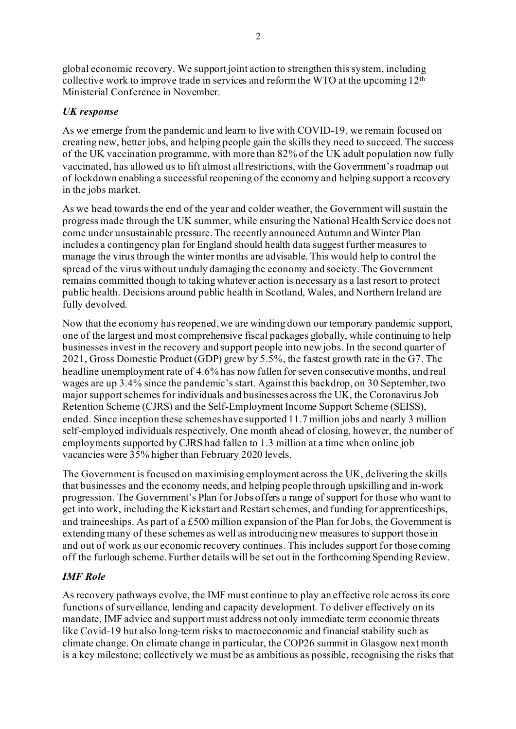global economic recovery. We support joint action to strengthen this system, including collective work to improve trade in services and reform the WTO at the upcoming 12th Ministerial Conference in November.

### *UK response*

As we emerge from the pandemic and learn to live with COVID-19, we remain focused on creating new, better jobs, and helping people gain the skills they need to succeed. The success of the UK vaccination programme, with more than 82% of the UK adult population now fully vaccinated, has allowed us to lift almost all restrictions, with the Government's roadmap out of lockdown enabling a successful reopening of the economy and helping support a recovery in the jobs market.

As we head towards the end of the year and colder weather, the Government will sustain the progress made through the UK summer, while ensuring the National Health Service does not come under unsustainable pressure. The recently announced Autumn and Winter Plan includes a contingency plan for England should health data suggest further measures to manage the virus through the winter months are advisable. This would help to control the spread of the virus without unduly damaging the economy and society. The Government remains committed though to taking whatever action is necessary as a last resort to protect public health. Decisions around public health in Scotland, Wales, and Northern Ireland are fully devolved.

Now that the economy has reopened, we are winding down our temporary pandemic support, one of the largest and most comprehensive fiscal packages globally, while continuing to help businesses invest in the recovery and support people into new jobs. In the second quarter of 2021, Gross Domestic Product (GDP) grew by 5.5%, the fastest growth rate in the G7. The headline unemployment rate of 4.6% has now fallen for seven consecutive months, and real wages are up 3.4% since the pandemic's start. Against this backdrop, on 30 September, two major support schemes for individuals and businesses across the UK, the Coronavirus Job Retention Scheme (CJRS) and the Self-Employment Income Support Scheme (SEISS), ended. Since inception these schemes have supported 11.7 million jobs and nearly 3 million self-employed individuals respectively. One month ahead of closing, however, the number of employments supported by CJRS had fallen to 1.3 million at a time when online job vacancies were 35% higher than February 2020 levels.

The Government is focused on maximising employment across the UK, delivering the skills that businesses and the economy needs, and helping people through upskilling and in-work progression. The Government's Plan for Jobs offers a range of support for those who want to get into work, including the Kickstart and Restart schemes, and funding for apprenticeships, and traineeships. As part of a £500 million expansion of the Plan for Jobs, the Government is extending many of these schemes as well as introducing new measures to support those in and out of work as our economic recovery continues. This includes support for those coming off the furlough scheme. Further details will be set out in the forthcoming Spending Review.

## *IMF Role*

As recovery pathways evolve, the IMF must continue to play an effective role across its core functions of surveillance, lending and capacity development. To deliver effectively on its mandate, IMF advice and support must address not only immediate term economic threats like Covid-19 but also long-term risks to macroeconomic and financial stability such as climate change. On climate change in particular, the COP26 summit in Glasgow next month is a key milestone; collectively we must be as ambitious as possible, recognising the risks that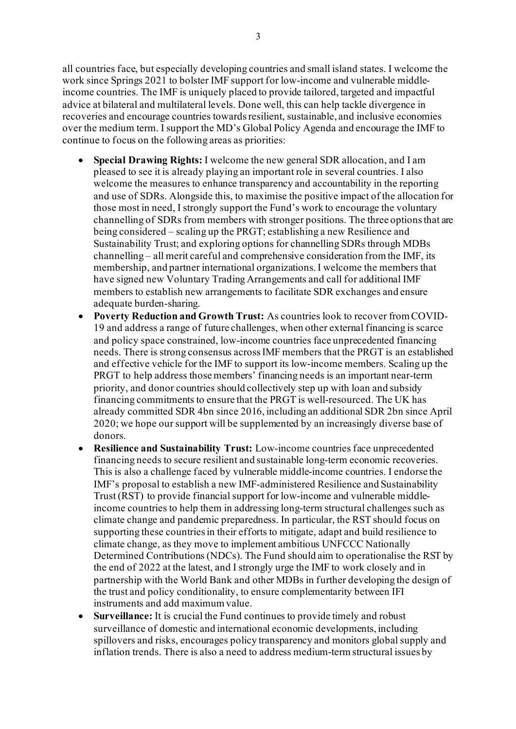3

all countries face, but especially developing countries and small island states. I welcome the work since Springs 2021 to bolster IMF support for low-income and vulnerable middleincome countries. The IMF is uniquely placed to provide tailored, targeted and impactful advice at bilateral and multilateral levels. Done well, this can help tackle divergence in recoveries and encourage countries towards resilient, sustainable, and inclusive economies over the medium term. I support the MD's Global Policy Agenda and encourage the IMF to continue to focus on the following areas as priorities:

- **Special Drawing Rights:** I welcome the new general SDR allocation, and I am pleased to see it is already playing an important role in several countries. I also welcome the measures to enhance transparency and accountability in the reporting and use of SDRs. Alongside this, to maximise the positive impact of the allocation for those most in need, I strongly support the Fund's work to encourage the voluntary channelling of SDRs from members with stronger positions. The three options that are being considered – scaling up the PRGT; establishing a new Resilience and Sustainability Trust; and exploring options for channelling SDRs through MDBs channelling – all merit careful and comprehensive consideration from the IMF, its membership, and partner international organizations. I welcome the members that have signed new Voluntary Trading Arrangements and call for additional IMF members to establish new arrangements to facilitate SDR exchanges and ensure adequate burden-sharing.
- **Poverty Reduction and Growth Trust:** As countries look to recover from COVID-19 and address a range of future challenges, when other external financing is scarce and policy space constrained, low-income countries face unprecedented financing needs. There is strong consensus across IMF members that the PRGT is an established and effective vehicle for the IMF to support its low-income members. Scaling up the PRGT to help address those members' financing needs is an important near-term priority, and donor countries should collectively step up with loan and subsidy financing commitments to ensure that the PRGT is well-resourced. The UK has already committed SDR 4bn since 2016, including an additional SDR 2bn since April 2020; we hope our support will be supplemented by an increasingly diverse base of donors.
- **Resilience and Sustainability Trust:** Low-income countries face unprecedented financing needs to secure resilient and sustainable long-term economic recoveries. This is also a challenge faced by vulnerable middle-income countries. I endorse the IMF's proposal to establish a new IMF-administered Resilience and Sustainability Trust (RST) to provide financial support for low-income and vulnerable middleincome countries to help them in addressing long-term structural challenges such as climate change and pandemic preparedness. In particular, the RST should focus on supporting these countries in their efforts to mitigate, adapt and build resilience to climate change, as they move to implement ambitious UNFCCC Nationally Determined Contributions (NDCs). The Fund should aim to operationalise the RST by the end of 2022 at the latest, and I strongly urge the IMF to work closely and in partnership with the World Bank and other MDBs in further developing the design of the trust and policy conditionality, to ensure complementarity between IFI instruments and add maximum value.
- **Surveillance:** It is crucial the Fund continues to provide timely and robust surveillance of domestic and international economic developments, including spillovers and risks, encourages policy transparency and monitors global supply and inflation trends. There is also a need to address medium-term structural issues by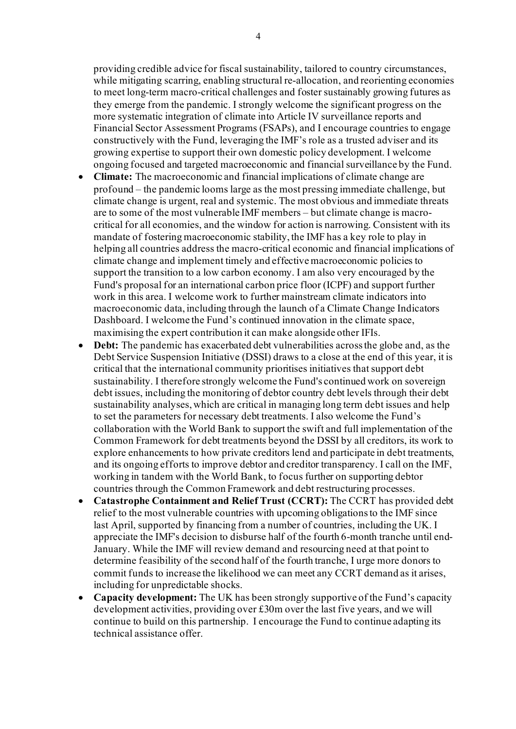providing credible advice for fiscal sustainability, tailored to country circumstances, while mitigating scarring, enabling structural re-allocation, and reorienting economies to meet long-term macro-critical challenges and foster sustainably growing futures as they emerge from the pandemic. I strongly welcome the significant progress on the more systematic integration of climate into Article IV surveillance reports and Financial Sector Assessment Programs (FSAPs), and I encourage countries to engage constructively with the Fund, leveraging the IMF's role as a trusted adviser and its growing expertise to support their own domestic policy development. I welcome ongoing focused and targeted macroeconomic and financial surveillance by the Fund.

- **Climate:** The macroeconomic and financial implications of climate change are profound – the pandemic looms large as the most pressing immediate challenge, but climate change is urgent, real and systemic. The most obvious and immediate threats are to some of the most vulnerable IMF members – but climate change is macrocritical for all economies, and the window for action is narrowing. Consistent with its mandate of fostering macroeconomic stability, the IMF has a key role to play in helping all countries address the macro-critical economic and financial implications of climate change and implement timely and effective macroeconomic policies to support the transition to a low carbon economy. I am also very encouraged by the Fund's proposal for an international carbon price floor (ICPF) and support further work in this area. I welcome work to further mainstream climate indicators into macroeconomic data, including through the launch of a Climate Change Indicators Dashboard. I welcome the Fund's continued innovation in the climate space, maximising the expert contribution it can make alongside other IFIs.
- **Debt:** The pandemic has exacerbated debt vulnerabilities across the globe and, as the Debt Service Suspension Initiative (DSSI) draws to a close at the end of this year, it is critical that the international community prioritises initiatives that support debt sustainability. I therefore strongly welcome the Fund's continued work on sovereign debt issues, including the monitoring of debtor country debt levels through their debt sustainability analyses, which are critical in managing long term debt issues and help to set the parameters for necessary debt treatments. I also welcome the Fund's collaboration with the World Bank to support the swift and full implementation of the Common Framework for debt treatments beyond the DSSI by all creditors, its work to explore enhancements to how private creditors lend and participate in debt treatments, and its ongoing efforts to improve debtor and creditor transparency. I call on the IMF, working in tandem with the World Bank, to focus further on supporting debtor countries through the Common Framework and debt restructuring processes.
- **Catastrophe Containment and Relief Trust (CCRT):** The CCRT has provided debt relief to the most vulnerable countries with upcoming obligations to the IMF since last April, supported by financing from a number of countries, including the UK. I appreciate the IMF's decision to disburse half of the fourth 6-month tranche until end-January. While the IMF will review demand and resourcing need at that point to determine feasibility of the second half of the fourth tranche, I urge more donors to commit funds to increase the likelihood we can meet any CCRT demand as it arises, including for unpredictable shocks.
- **Capacity development:** The UK has been strongly supportive of the Fund's capacity development activities, providing over £30m over the last five years, and we will continue to build on this partnership. I encourage the Fund to continue adapting its technical assistance offer.